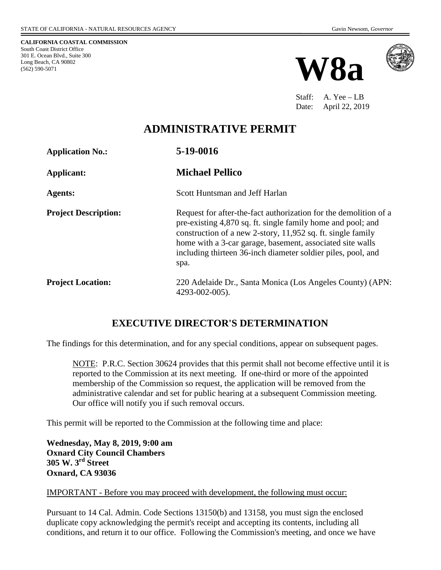**CALIFORNIA COASTAL COMMISSION** South Coast District Office 301 E. Ocean Blvd., Suite 300 Long Beach, CA 90802 (562) 590-5071





Staff: A. Yee – LB Date: April 22, 2019

## **ADMINISTRATIVE PERMIT**

**Application No.: 5-19-0016** 

**Agents:** Scott Huntsman and Jeff Harlan

**Applicant: Michael Pellico**

**Project Description:** Request for after-the-fact authorization for the demolition of a pre-existing 4,870 sq. ft. single family home and pool; and construction of a new 2-story, 11,952 sq. ft. single family home with a 3-car garage, basement, associated site walls including thirteen 36-inch diameter soldier piles, pool, and spa.

**Project Location:** 220 Adelaide Dr., Santa Monica (Los Angeles County) (APN: 4293-002-005).

### **EXECUTIVE DIRECTOR'S DETERMINATION**

The findings for this determination, and for any special conditions, appear on subsequent pages.

NOTE: P.R.C. Section 30624 provides that this permit shall not become effective until it is reported to the Commission at its next meeting. If one-third or more of the appointed membership of the Commission so request, the application will be removed from the administrative calendar and set for public hearing at a subsequent Commission meeting. Our office will notify you if such removal occurs.

This permit will be reported to the Commission at the following time and place:

**Wednesday, May 8, 2019, 9:00 am Oxnard City Council Chambers 305 W. 3rd Street Oxnard, CA 93036** 

#### IMPORTANT - Before you may proceed with development, the following must occur:

Pursuant to 14 Cal. Admin. Code Sections 13150(b) and 13158, you must sign the enclosed duplicate copy acknowledging the permit's receipt and accepting its contents, including all conditions, and return it to our office. Following the Commission's meeting, and once we have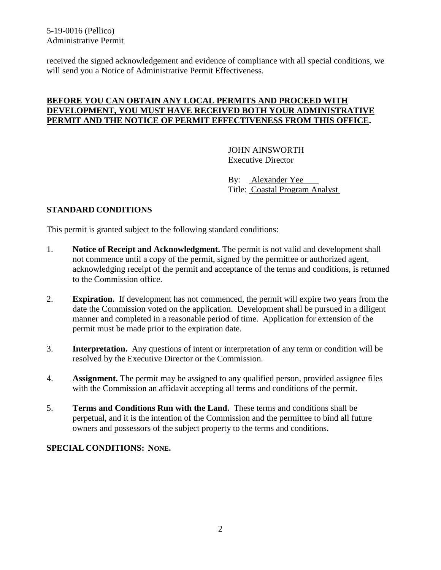5-19-0016 (Pellico) Administrative Permit

received the signed acknowledgement and evidence of compliance with all special conditions, we will send you a Notice of Administrative Permit Effectiveness.

### **BEFORE YOU CAN OBTAIN ANY LOCAL PERMITS AND PROCEED WITH DEVELOPMENT, YOU MUST HAVE RECEIVED BOTH YOUR ADMINISTRATIVE PERMIT AND THE NOTICE OF PERMIT EFFECTIVENESS FROM THIS OFFICE.**

 JOHN AINSWORTH Executive Director

 By: Alexander Yee Title: Coastal Program Analyst

### **STANDARD CONDITIONS**

This permit is granted subject to the following standard conditions:

- 1. **Notice of Receipt and Acknowledgment.** The permit is not valid and development shall not commence until a copy of the permit, signed by the permittee or authorized agent, acknowledging receipt of the permit and acceptance of the terms and conditions, is returned to the Commission office.
- 2. **Expiration.** If development has not commenced, the permit will expire two years from the date the Commission voted on the application. Development shall be pursued in a diligent manner and completed in a reasonable period of time. Application for extension of the permit must be made prior to the expiration date.
- 3. **Interpretation.** Any questions of intent or interpretation of any term or condition will be resolved by the Executive Director or the Commission.
- 4. **Assignment.** The permit may be assigned to any qualified person, provided assignee files with the Commission an affidavit accepting all terms and conditions of the permit.
- 5. **Terms and Conditions Run with the Land.** These terms and conditions shall be perpetual, and it is the intention of the Commission and the permittee to bind all future owners and possessors of the subject property to the terms and conditions.

#### **SPECIAL CONDITIONS: NONE.**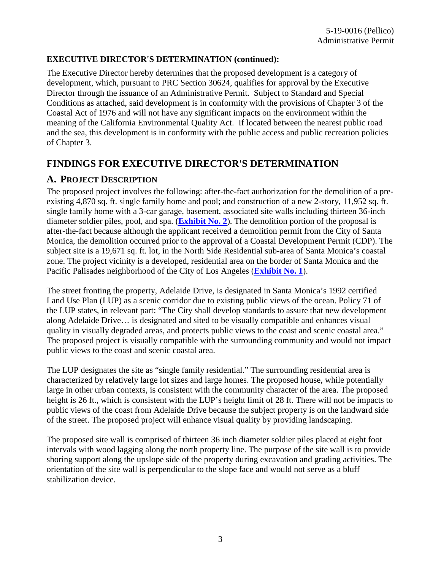### **EXECUTIVE DIRECTOR'S DETERMINATION (continued):**

The Executive Director hereby determines that the proposed development is a category of development, which, pursuant to PRC Section 30624, qualifies for approval by the Executive Director through the issuance of an Administrative Permit. Subject to Standard and Special Conditions as attached, said development is in conformity with the provisions of Chapter 3 of the Coastal Act of 1976 and will not have any significant impacts on the environment within the meaning of the California Environmental Quality Act. If located between the nearest public road and the sea, this development is in conformity with the public access and public recreation policies of Chapter 3.

## **FINDINGS FOR EXECUTIVE DIRECTOR'S DETERMINATION**

### **A. PROJECT DESCRIPTION**

The proposed project involves the following: after-the-fact authorization for the demolition of a preexisting 4,870 sq. ft. single family home and pool; and construction of a new 2-story, 11,952 sq. ft. single family home with a 3-car garage, basement, associated site walls including thirteen 36-inch diameter soldier piles, pool, and spa. (**[Exhibit No. 2](https://documents.coastal.ca.gov/reports/2019/5/w8a/w8a-5-2019-exhibits.pdf)**). The demolition portion of the proposal is after-the-fact because although the applicant received a demolition permit from the City of Santa Monica, the demolition occurred prior to the approval of a Coastal Development Permit (CDP). The subject site is a 19,671 sq. ft. lot, in the North Side Residential sub-area of Santa Monica's coastal zone. The project vicinity is a developed, residential area on the border of Santa Monica and the Pacific Palisades neighborhood of the City of Los Angeles (**[Exhibit No. 1](https://documents.coastal.ca.gov/reports/2019/5/w8a/w8a-5-2019-exhibits.pdf)**).

The street fronting the property, Adelaide Drive, is designated in Santa Monica's 1992 certified Land Use Plan (LUP) as a scenic corridor due to existing public views of the ocean. Policy 71 of the LUP states, in relevant part: "The City shall develop standards to assure that new development along Adelaide Drive… is designated and sited to be visually compatible and enhances visual quality in visually degraded areas, and protects public views to the coast and scenic coastal area." The proposed project is visually compatible with the surrounding community and would not impact public views to the coast and scenic coastal area.

The LUP designates the site as "single family residential." The surrounding residential area is characterized by relatively large lot sizes and large homes. The proposed house, while potentially large in other urban contexts, is consistent with the community character of the area. The proposed height is 26 ft., which is consistent with the LUP's height limit of 28 ft. There will not be impacts to public views of the coast from Adelaide Drive because the subject property is on the landward side of the street. The proposed project will enhance visual quality by providing landscaping.

The proposed site wall is comprised of thirteen 36 inch diameter soldier piles placed at eight foot intervals with wood lagging along the north property line. The purpose of the site wall is to provide shoring support along the upslope side of the property during excavation and grading activities. The orientation of the site wall is perpendicular to the slope face and would not serve as a bluff stabilization device.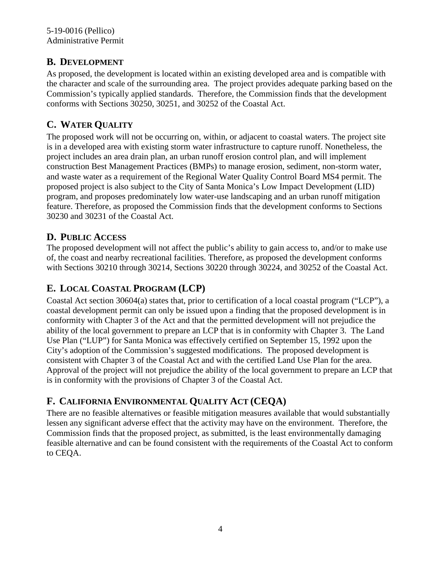### **B. DEVELOPMENT**

As proposed, the development is located within an existing developed area and is compatible with the character and scale of the surrounding area. The project provides adequate parking based on the Commission's typically applied standards. Therefore, the Commission finds that the development conforms with Sections 30250, 30251, and 30252 of the Coastal Act.

## **C. WATER QUALITY**

The proposed work will not be occurring on, within, or adjacent to coastal waters. The project site is in a developed area with existing storm water infrastructure to capture runoff. Nonetheless, the project includes an area drain plan, an urban runoff erosion control plan, and will implement construction Best Management Practices (BMPs) to manage erosion, sediment, non-storm water, and waste water as a requirement of the Regional Water Quality Control Board MS4 permit. The proposed project is also subject to the City of Santa Monica's Low Impact Development (LID) program, and proposes predominately low water-use landscaping and an urban runoff mitigation feature. Therefore, as proposed the Commission finds that the development conforms to Sections 30230 and 30231 of the Coastal Act.

### **D. PUBLIC ACCESS**

The proposed development will not affect the public's ability to gain access to, and/or to make use of, the coast and nearby recreational facilities. Therefore, as proposed the development conforms with Sections 30210 through 30214, Sections 30220 through 30224, and 30252 of the Coastal Act.

## **E. LOCAL COASTAL PROGRAM (LCP)**

Coastal Act section 30604(a) states that, prior to certification of a local coastal program ("LCP"), a coastal development permit can only be issued upon a finding that the proposed development is in conformity with Chapter 3 of the Act and that the permitted development will not prejudice the ability of the local government to prepare an LCP that is in conformity with Chapter 3. The Land Use Plan ("LUP") for Santa Monica was effectively certified on September 15, 1992 upon the City's adoption of the Commission's suggested modifications. The proposed development is consistent with Chapter 3 of the Coastal Act and with the certified Land Use Plan for the area. Approval of the project will not prejudice the ability of the local government to prepare an LCP that is in conformity with the provisions of Chapter 3 of the Coastal Act.

# **F. CALIFORNIA ENVIRONMENTAL QUALITY ACT (CEQA)**

There are no feasible alternatives or feasible mitigation measures available that would substantially lessen any significant adverse effect that the activity may have on the environment. Therefore, the Commission finds that the proposed project, as submitted, is the least environmentally damaging feasible alternative and can be found consistent with the requirements of the Coastal Act to conform to CEQA.